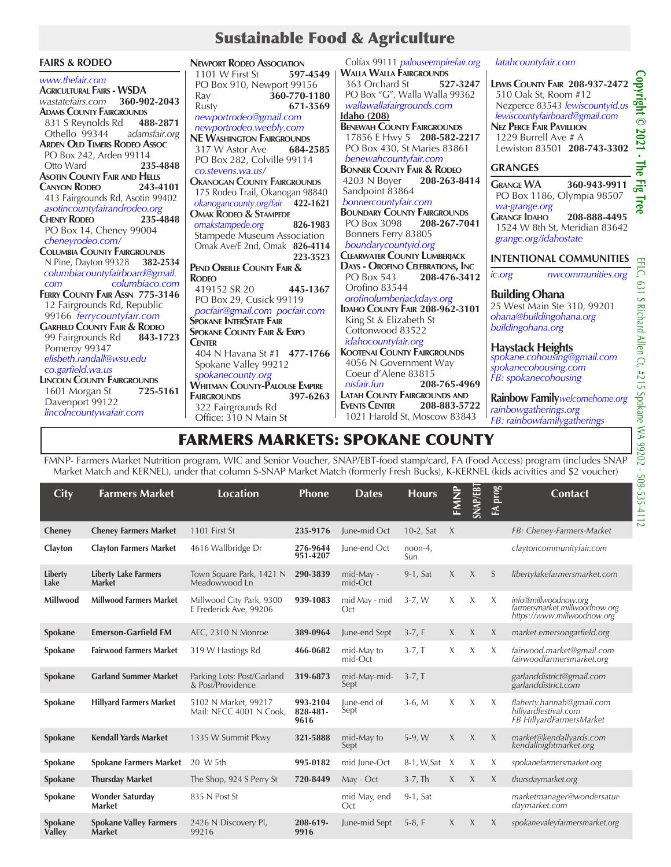# Sustainable Food & Agriculture

| <b>FAIRS &amp; RODEO</b>                                                                                                                                                                                                                                                                               | <b>NEWPORT RODEO ASSOCIATION</b>                                                                                                                                                                                                                                                | Colfax 99111 palouseempirefair.org                                                                                                                                                                                                                                                                                   | latahcountyfair.com                                                                                                                                                                                                                            |                                            |  |  |
|--------------------------------------------------------------------------------------------------------------------------------------------------------------------------------------------------------------------------------------------------------------------------------------------------------|---------------------------------------------------------------------------------------------------------------------------------------------------------------------------------------------------------------------------------------------------------------------------------|----------------------------------------------------------------------------------------------------------------------------------------------------------------------------------------------------------------------------------------------------------------------------------------------------------------------|------------------------------------------------------------------------------------------------------------------------------------------------------------------------------------------------------------------------------------------------|--------------------------------------------|--|--|
| www.thefair.com<br><b>AGRICULTURAL FAIRS - WSDA</b><br>wastatefairs.com<br>360-902-2043<br><b>ADAMS COUNTY FAIRGROUNDS</b><br>831 S Reynolds Rd<br>488-2871<br>Othello 99344<br>adamsfair.org<br><b>ARDEN OLD TIMERS RODEO ASSOC</b><br>PO Box 242, Arden 99114<br>Otto Ward<br>235-4848               | 1101 W First St<br>597-4549<br>PO Box 910, Newport 99156<br>360-770-1180<br>Ray<br>671-3569<br>Rusty<br>newportrodeo@gmail.com<br>newportrodeo.weebly.com<br><b>NE WASHINGTON FAIRGROUNDS</b><br>317 W Astor Ave<br>684-2585<br>PO Box 282, Colville 99114<br>co.stevens.wa.us/ | <b>WALLA WALLA FAIRGROUNDS</b><br>363 Orchard St<br>527-3247<br>PO Box "G", Walla Walla 99362<br>wallawallafairgrounds.com<br><b>Idaho</b> (208)<br><b>BENEWAH COUNTY FAIRGROUNDS</b><br>17856 E Hwy 5 208-582-2217<br>PO Box 430, St Maries 83861<br>benewahcountyfair.com<br><b>BONNER COUNTY FAIR &amp; RODEO</b> | <b>LEWIS COUNTY FAIR 208-937-2472</b><br>510 Oak St, Room #12<br>Nezperce 83543 lewiscountyid.us<br>lewiscountyfairboard@gmail.com<br><b>NEZ PERCE FAIR PAVILLION</b><br>1229 Burrell Ave # A<br>Lewiston 83501 208-743-3302<br><b>GRANGES</b> | Copyri<br>agirt<br>$\odot$<br>202          |  |  |
| <b>ASOTIN COUNTY FAIR AND HELLS</b><br><b>CANYON RODEO</b><br>243-4101<br>413 Fairgrounds Rd, Asotin 99402<br>asotincountyfairandrodeo.org<br><b>CHENEY RODEO</b><br>235-4848<br>PO Box 14, Cheney 99004<br>cheneyrodeo.com/<br><b>COLUMBIA COUNTY FAIRGROUNDS</b><br>N Pine, Dayton 99328<br>382-2534 | <b>OKANOGAN COUNTY FAIRGROUNDS</b><br>175 Rodeo Trail, Okanogan 98840<br>okanogancounty.org/fair 422-1621<br><b>OMAK RODEO &amp; STAMPEDE</b><br>omakstampede.org<br>826-1983<br>Stampede Museum Association<br>Omak Ave/E 2nd, Omak 826-4114<br>223-3523                       | 4203 N Bover<br>208-263-8414<br>Sandpoint 83864<br>bonnercountyfair.com<br><b>BOUNDARY COUNTY FAIRGROUNDS</b><br>PO Box 3098<br>208-267-7041<br>Bonners Ferry 83805<br>boundarycountyid.org<br><b>CLEARWATER COUNTY LUMBERIACK</b>                                                                                   | <b>GRANGE WA</b><br>360-943-9911<br>PO Box 1186, Olympia 98507<br>wa-grange.org<br>208-888-4495<br><b>GRANGE DAHO</b><br>1524 W 8th St. Meridian 83642<br>grange.org/idahostate<br><b>INTENTIONAL COMMUNITIES</b>                              |                                            |  |  |
| columbiacountyfairboard@gmail.<br>columbiaco.com<br>com                                                                                                                                                                                                                                                | <b>PEND OREILLE COUNTY FAIR &amp;</b><br><b>RODEO</b>                                                                                                                                                                                                                           | <b>DAYS - OROFINO CELEBRATIONS, INC</b><br>208-476-3412<br>PO Box 543                                                                                                                                                                                                                                                | nwcommunities.org<br>ic.org                                                                                                                                                                                                                    | 需<br>5                                     |  |  |
| <b>FERRY COUNTY FAIR ASSN 775-3146</b><br>12 Fairgrounds Rd, Republic<br>99166 ferrycountyfair.com<br><b>GARFIELD COUNTY FAIR &amp; RODEO</b><br>843-1723<br>99 Fairgrounds Rd<br>Pomeroy 99347<br>elisbeth.randall@wsu.edu<br>co.garfield.wa.us                                                       | 419152 SR 20<br>445-1367<br>PO Box 29, Cusick 99119<br>pocfair@gmail.com pocfair.com<br><b>SPOKANE INTERSTATE FAIR</b><br><b>SPOKANE COUNTY FAIR &amp; EXPO</b><br><b>CENTER</b><br>404 N Havana St #1 477-1766<br>Spokane Valley 99212<br>spokanecounty.org                    | Orofino 83544<br>orofinolumberjackdays.org<br><b>IDAHO COUNTY FAIR 208-962-3101</b><br>King St & Elizabeth St<br>Cottonwood 83522<br><i>idahocountyfair.org</i><br><b>KOOTENAI COUNTY FAIRGROUNDS</b><br>4056 N Government Way<br>Coeur d'Alene 83815                                                                | <b>Building Ohana</b><br>25 West Main Ste 310, 99201<br>ohana@buildingohana.org<br>buildingohana.org<br><b>Haystack Heights</b><br>spokane.cohousing@gmail.com<br>spokanecohousing.com<br>FB: spokanecohousing                                 | 189<br>$\sim$<br>Richard Allen Ct,<br>5124 |  |  |
| <b>LINCOLN COUNTY FAIRGROUNDS</b><br>725-5161<br>1601 Morgan St<br>Davenport 99122<br>lincolncountywafair.com                                                                                                                                                                                          | <b>WHITMAN COUNTY-PALOUSE EMPIRE</b><br>FAIRGROUNDS<br>397-6263<br>322 Fairgrounds Rd<br>Office: 310 N Main St                                                                                                                                                                  | nisfair fun<br>208-765-4969<br>LATAH COUNTY FAIRGROUNDS AND<br><b>EVENTS CENTER</b><br>208-883-5722<br>1021 Harold St, Moscow 83843                                                                                                                                                                                  | Rainbow Familywelcomehome.org<br>rainbowgatherings.org<br>FB: rainbowfamilygatherings                                                                                                                                                          | Spokane                                    |  |  |

## FARMERS MARKETS: SPOKANE COUNTY

FMNP- Farmers Market Nutrition program, WIC and Senior Voucher, SNAP/EBT-food stamp/card, FA (Food Access) program (includes SNAP Market Match and KERNEL), under that column S-SNAP Market Match (formerly Fresh Bucks), K-KERNEL (kids acivities and \$2 voucher)

| City                     | <b>Farmers Market</b>                        | <b>Location</b>                                    | Phone                        | <b>Dates</b>          | <b>Hours</b>   | FMNP | SNAP/EBT | prog<br>氐 | <b>Contact</b>                                                                        |
|--------------------------|----------------------------------------------|----------------------------------------------------|------------------------------|-----------------------|----------------|------|----------|-----------|---------------------------------------------------------------------------------------|
| Cheney                   | <b>Cheney Farmers Market</b>                 | 1101 First St                                      | 235-9176                     | lune-mid Oct          | $10-2$ , Sat   | X    |          |           | FB: Cheney-Farmers-Market                                                             |
| Clayton                  | <b>Clayton Farmers Market</b>                | 4616 Wallbridge Dr                                 | 276-9644<br>951-4207         | June-end Oct          | noon-4,<br>Sun |      |          |           | claytoncommunityfair.com                                                              |
| Liberty<br>Lake          | <b>Liberty Lake Farmers</b><br><b>Market</b> | Town Square Park, 1421 N<br>Meadowwood Ln          | 290-3839                     | mid-May -<br>mid-Oct  | 9-1, Sat       | X    | X        | S         | libertylakefarmersmarket.com                                                          |
| Millwood                 | <b>Millwood Farmers Market</b>               | Millwood City Park, 9300<br>E Frederick Ave, 99206 | 939-1083                     | mid May - mid<br>Oct  | $3-7$ , W      | X    | X        | X         | info@millwoodnow.org<br>farmersmarket.millwoodnow.org<br>https://www.millwoodnow.org` |
| Spokane                  | <b>Emerson-Garfield FM</b>                   | AEC, 2310 N Monroe                                 | 389-0964                     | June-end Sept         | $3-7, F$       | X.   | X        | X         | market.emersongarfield.org                                                            |
| Spokane                  | <b>Fairwood Farmers Market</b>               | 319 W Hastings Rd                                  | 466-0682                     | mid-May to<br>mid-Oct | $3-7, T$       | X    | X        | X         | fairwood.market@gmail.com<br>fairwoodfarmersmarket.org                                |
| Spokane                  | <b>Garland Summer Market</b>                 | Parking Lots: Post/Garland<br>& Post/Providence    | 319-6873                     | mid-May-mid-<br>Sept  | $3-7, T$       |      |          |           | garlanddistrict@gmail.com<br>garlanddistrict.com                                      |
| Spokane                  | <b>Hillyard Farmers Market</b>               | 5102 N Market, 99217<br>Mail: NECC 4001 N Cook,    | 993-2104<br>828-481-<br>9616 | June-end of<br>Sept   | $3-6, M$       | X    | X        | X         | flaherty.hannah@gmail.com<br>hillyardfestival.com<br>FB HillyardFarmersMarket         |
| Spokane                  | <b>Kendall Yards Market</b>                  | 1335 W Summit Pkwy                                 | 321-5888                     | mid-May to<br>Sept    | $5-9. W$       | X    | X        | X         | market@kendallyards.com<br>kendallnightmarket.org                                     |
| Spokane                  | <b>Spokane Farmers Market</b>                | 20 W 5th                                           | 995-0182                     | mid June-Oct          | 8-1, W, Sat    | X    | X        | X         | spokanefarmersmarket.org                                                              |
| Spokane                  | <b>Thursday Market</b>                       | The Shop, 924 S Perry St                           | 720-8449                     | May - Oct             | $3-7$ , Th     | X    | X        | X         | thursdaymarket.org                                                                    |
| Spokane                  | <b>Wonder Saturday</b><br><b>Market</b>      | 835 N Post St                                      |                              | mid May, end<br>Oct   | 9-1, Sat       |      |          |           | marketmanager@wondersatur-<br>daymarket.com                                           |
| Spokane<br><b>Valley</b> | <b>Spokane Valley Farmers</b><br>Market      | 2426 N Discovery Pl,<br>99216                      | 208-619-<br>9916             | June-mid Sept         | $5-8, F$       | X    | X        | X         | spokanevaleyfarmersmarket.org                                                         |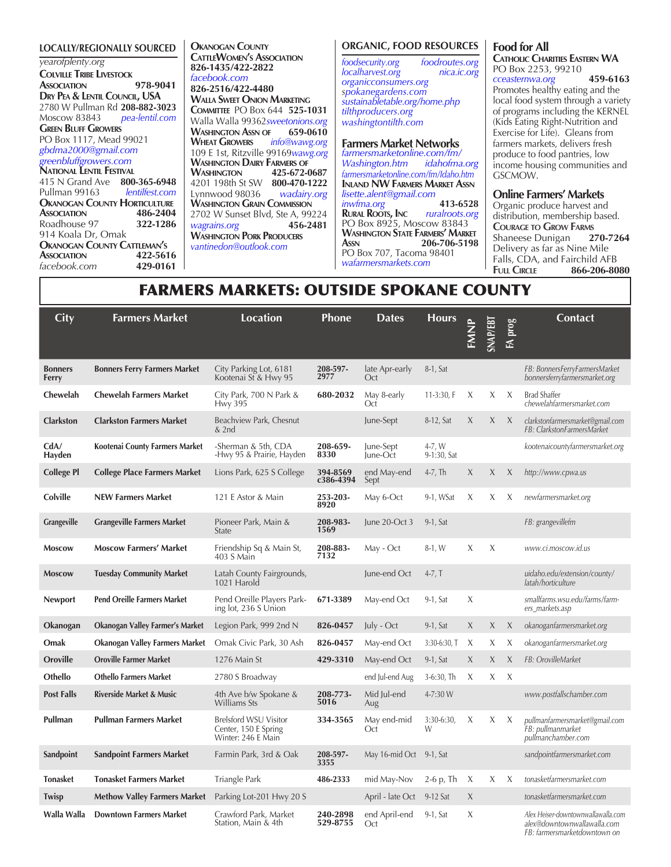| <b>LOCALLY/REGIONALLY SOURCED</b>                                                                                                            |          | <b>OKANOGAN COUN</b>                                                                                                              |
|----------------------------------------------------------------------------------------------------------------------------------------------|----------|-----------------------------------------------------------------------------------------------------------------------------------|
| yearofplenty.org<br><b>COLVILLE TRIBE LIVESTOCK</b><br><b>ASSOCIATION</b><br>DRY PEA & LENTIL COUNCIL, USA<br>2780 W Pullman Rd 208-882-3023 | 978-9041 | <b>CATTLEWOMEN'S A</b><br>826-1435/422-28<br><i>facebook.com</i><br>826-2516/422-44<br>WALLA SWEET ONIC<br><b>COMMITTEE PO BO</b> |
| Moscow 83843 pea-lentil.com<br><b>GREEN BLUFF GROWERS</b>                                                                                    |          | Walla Walla 9936                                                                                                                  |
| PO Box 1117, Mead 99021<br>gbdma2000@gmail.com                                                                                               |          | <b>WASHINGTON ASSN</b><br>Wheat Growers<br>109 E 1st, Ritzville                                                                   |
| greenbluffgrowers.com<br><b>NATIONAL LENTIL FESTIVAL</b>                                                                                     |          | <b>WASHINGTON DAIR</b><br><b>WASHINGTON</b>                                                                                       |
| 415 N Grand Ave 800-365-6948<br>Pullman 99163 lentilfest.com                                                                                 |          | 4201 198th St SW<br>Lynnwood 98036                                                                                                |
| <b>OKANOGAN COUNTY HORTICULTURE</b><br><b>ASSOCIATION</b>                                                                                    | 486-2404 | <b>WASHINGTON GRAI</b><br>2702 W Sunset Bl                                                                                        |
| Roadhouse 97 322-1286<br>914 Koala Dr, Omak                                                                                                  |          | wagrains.org<br><b>WASHINGTON PORK</b>                                                                                            |
| <b>OKANOGAN COUNTY CATTLEMAN'S</b><br><b>ASSOCIATION</b>                                                                                     | 422-5616 | vantinedon@outloo                                                                                                                 |
| facebook.com                                                                                                                                 | 429-0161 |                                                                                                                                   |

#### **Okanogan County CattleWomen's Association 822 826-2516/422-4480 SWA MARKETING Committee** PO Box 644 **525-1031** Walla Walla 99362*sweetonions.org* **Washington Assn of 659-0610 Wheat Growers** *info@wawg.org* 109 E 1st, Ritzville 99169*wawg.org*  **Y FARMERS** OF **Washington 425-672-0687** 4201 198th St SW **800-470-1222** wadairy.org **N** COMMISSION lvd, Ste A, 99224 *wagrains.org* **456-2481 Washington Pork Producers** *vantinedon@outlook.com*

#### **ORGANIC, FOOD RESOURCES**

*foodsecurity.org foodroutes.org localharvest.org organicconsumers.org spokanegardens.com sustainabletable.org/home.php tilthproducers.org washingtontilth.com*

### **Farmers Market Networks**

*farmersmarketonline.com/fm/ Washington.htm farmersmarketonline.com/fm/Idaho.htm* **Inland NW Farmers Market Assn** *lisette.alent@gmail.com inwfma.org* **413-6528 RURAL ROOTS, INC** PO Box 8925, Moscow 83843 **Washington State Farmers' Market Assn 206-706-5198** PO Box 707, Tacoma 98401 *wafarmersmarkets.com*

#### **Food for All**

**Catholic Charities Eastern WA** PO Box 2253, 99210 *cceasternwa.org* **459-6163** Promotes healthy eating and the local food system through a variety of programs including the KERNEL (Kids Eating Right-Nutrition and Exercise for Life). Gleans from farmers markets, delivers fresh produce to food pantries, low income housing communities and GSCMOW.

#### **Online Farmers' Markets**

Organic produce harvest and distribution, membership based. **COURAGE TO GROW FARMS**<br>Shaneese Dunigan 270-7264 Shaneese Dunigan Delivery as far as Nine Mile Falls, CDA, and Fairchild AFB<br>FULL CIRCLE 866-206-80 **Full Circle 866-206-8080**

## FARMERS MARKETS: OUTSIDE SPOKANE COUNTY

| <b>City</b>             | <b>Farmers Market</b>                  | <b>Location</b>                                                            | Phone                 | <b>Dates</b>              | <b>Hours</b>          | FMNP   | SNAP/EBT | Bo.d<br>氐<br> | <b>Contact</b>                                                                                    |
|-------------------------|----------------------------------------|----------------------------------------------------------------------------|-----------------------|---------------------------|-----------------------|--------|----------|---------------|---------------------------------------------------------------------------------------------------|
|                         |                                        |                                                                            |                       |                           |                       |        |          |               |                                                                                                   |
| <b>Bonners</b><br>Ferry | <b>Bonners Ferry Farmers Market</b>    | City Parking Lot, 6181<br>Kootenai St & Hwy 95                             | 208-597-<br>2977      | late Apr-early<br>Oct     | 8-1, Sat              |        |          |               | FB: BonnersFerryFarmersMarket<br>bonnersferryfarmersmarket.org                                    |
| Chewelah                | <b>Chewelah Farmers Market</b>         | City Park, 700 N Park $&$<br><b>Hwy 395</b>                                | 680-2032              | May 8-early<br>Oct        | $11-3:30$ , F         | X      | X        | X             | <b>Brad Shaffer</b><br>chewelahfarmersmarket.com                                                  |
| <b>Clarkston</b>        | <b>Clarkston Farmers Market</b>        | Beachview Park, Chesnut<br>$&$ 2nd                                         |                       | June-Sept                 | 8-12, Sat             | X      | X        | X             | clarkstonfarmersmarket@gmail.com<br>FB: ClarkstonFarmersMarket                                    |
| CdA/<br>Hayden          | Kootenai County Farmers Market         | -Sherman & 5th, CDA<br>-Hwy 95 & Prairie, Hayden                           | 208-659-<br>8330      | June-Sept<br>June-Oct     | 4-7, W<br>9-1:30, Sat |        |          |               | kootenaicountyfarmersmarket.org                                                                   |
| <b>College Pl</b>       | <b>College Place Farmers Market</b>    | Lions Park, 625 S College                                                  | 394-8569<br>c386-4394 | end May-end<br>Sept       | 4-7, Th               | $\chi$ | X        | X             | http://www.cpwa.us                                                                                |
| Colville                | <b>NEW Farmers Market</b>              | 121 E Astor & Main                                                         | 253-203-<br>8920      | May 6-Oct                 | 9-1, WSat             | X      | X        | X             | newfarmersmarket.org                                                                              |
| <b>Grangeville</b>      | <b>Grangeville Farmers Market</b>      | Pioneer Park, Main &<br>State                                              | 208-983-<br>1569      | June $20$ -Oct $3$        | 9-1, Sat              |        |          |               | FB: grangevillefm                                                                                 |
| Moscow                  | <b>Moscow Farmers' Market</b>          | Friendship Sq & Main St,<br>403 S Main                                     | 208-883-<br>7132      | May - Oct                 | $8-1$ , W             | X      | X        |               | www.ci.moscow.id.us                                                                               |
| Moscow                  | <b>Tuesday Community Market</b>        | Latah County Fairgrounds,<br>1021 Harold                                   |                       | June-end Oct              | 4-7, T                |        |          |               | uidaho.edu/extension/county/<br>latah/horticulture                                                |
| <b>Newport</b>          | <b>Pend Oreille Farmers Market</b>     | Pend Oreille Players Park-<br>ing lot, 236 S Union                         | 671-3389              | May-end Oct               | 9-1, Sat              | X      |          |               | smallfarms.wsu.edu/farms/farm-<br>ers_markets.asp                                                 |
| Okanogan                | <b>Okanogan Valley Farmer's Market</b> | Legion Park, 999 2nd N                                                     | 826-0457              | July - Oct                | 9-1, Sat              | $\chi$ | X        | X             | okanoganfarmersmarket.org                                                                         |
| Omak                    | <b>Okanogan Valley Farmers Market</b>  | Omak Civic Park, 30 Ash                                                    | 826-0457              | May-end Oct               | 3:30-6:30, T          | X      | X        | X             | okanoganfarmersmarket.org                                                                         |
| <b>Oroville</b>         | <b>Oroville Farmer Market</b>          | 1276 Main St                                                               | 429-3310              | May-end Oct               | 9-1, Sat              | X      | X        | $\chi$        | FB: OrovilleMarket                                                                                |
| Othello                 | <b>Othello Farmers Market</b>          | 2780 S Broadway                                                            |                       | end Jul-end Aug           | 3-6:30, Th            | X      | X        | X             |                                                                                                   |
| <b>Post Falls</b>       | <b>Riverside Market &amp; Music</b>    | 4th Ave b/w Spokane &<br>Williams Sts                                      | 208-773-<br>5016      | Mid Jul-end<br>Aug        | $4 - 7:30 W$          |        |          |               | www.postfallschamber.com                                                                          |
| Pullman                 | <b>Pullman Farmers Market</b>          | <b>Brelsford WSU Visitor</b><br>Center, 150 E Spring<br>Winter: 246 E Main | 334-3565              | May end-mid<br>Oct        | 3:30-6:30,<br>W       | X      | X        | X             | pullmanfarmersmarket@gmail.com<br>FB: pullmanmarket<br>pullmanchamber.com                         |
| Sandpoint               | <b>Sandpoint Farmers Market</b>        | Farmin Park, 3rd & Oak                                                     | 208-597-<br>3355      | May 16-mid Oct 9-1, Sat   |                       |        |          |               | sandpointfarmersmarket.com                                                                        |
| <b>Tonasket</b>         | <b>Tonasket Farmers Market</b>         | Triangle Park                                                              | 486-2333              | mid May-Nov               | 2-6 p, Th             | X      | X        | X             | tonasketfarmersmarket.com                                                                         |
| Twisp                   | <b>Methow Valley Farmers Market</b>    | Parking Lot-201 Hwy 20 S                                                   |                       | April - late Oct 9-12 Sat |                       | X      |          |               | tonasketfarmersmarket.com                                                                         |
| Walla Walla             | <b>Downtown Farmers Market</b>         | Crawford Park, Market<br>Station, Main & 4th                               | 240-2898<br>529-8755  | end April-end<br>Oct      | 9-1, Sat              | X      |          |               | Alex Heiser-downtownwallawalla.com<br>alex@downtownwallawalla.com<br>FB: farmersmarketdowntown on |